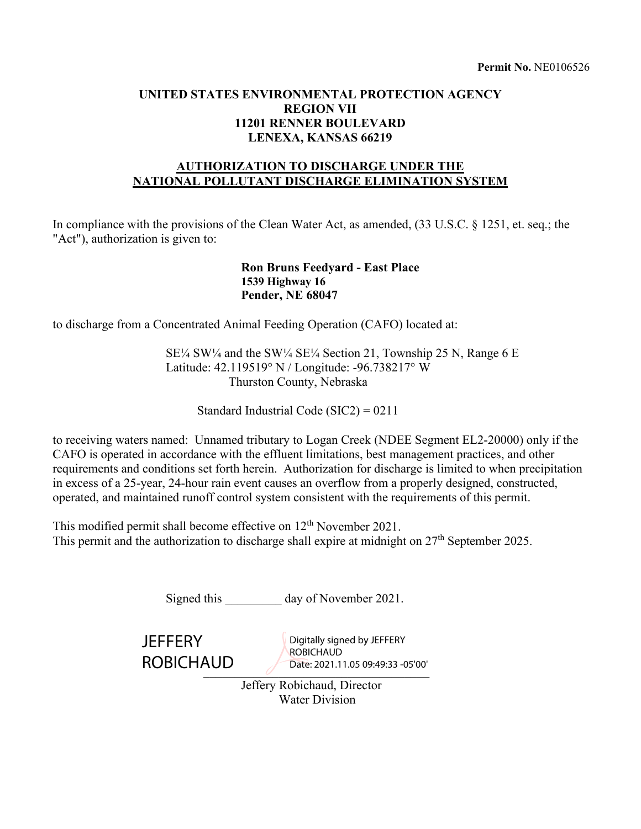# **UNITED STATES ENVIRONMENTAL PROTECTION AGENCY REGION VII 11201 RENNER BOULEVARD LENEXA, KANSAS 66219**

# **AUTHORIZATION TO DISCHARGE UNDER THE NATIONAL POLLUTANT DISCHARGE ELIMINATION SYSTEM**

In compliance with the provisions of the Clean Water Act, as amended, (33 U.S.C. § 1251, et. seq.; the "Act"), authorization is given to:

#### **Ron Bruns Feedyard - East Place 1539 Highway 16 Pender, NE 68047**

to discharge from a Concentrated Animal Feeding Operation (CAFO) located at:

SE¼ SW¼ and the SW¼ SE¼ Section 21, Township 25 N, Range 6 E Latitude: 42.119519° N / Longitude: -96.738217° W Thurston County, Nebraska

Standard Industrial Code (SIC2) = 0211

to receiving waters named: Unnamed tributary to Logan Creek (NDEE Segment EL2-20000) only if the CAFO is operated in accordance with the effluent limitations, best management practices, and other requirements and conditions set forth herein. Authorization for discharge is limited to when precipitation in excess of a 25-year, 24-hour rain event causes an overflow from a properly designed, constructed, operated, and maintained runoff control system consistent with the requirements of this permit.

This modified permit shall become effective on 12<sup>th</sup> November 2021. This permit and the authorization to discharge shall expire at midnight on  $27<sup>th</sup>$  September 2025.

| Signed this                        | day of November 2021.                                                         |  |  |  |
|------------------------------------|-------------------------------------------------------------------------------|--|--|--|
| <b>JEFFERY</b><br><b>ROBICHAUD</b> | Digitally signed by JEFFERY<br>ROBICHAUD<br>Date: 2021.11.05 09:49:33 -05'00' |  |  |  |
| Jeffery Robichaud, Director        |                                                                               |  |  |  |
| <b>Water Division</b>              |                                                                               |  |  |  |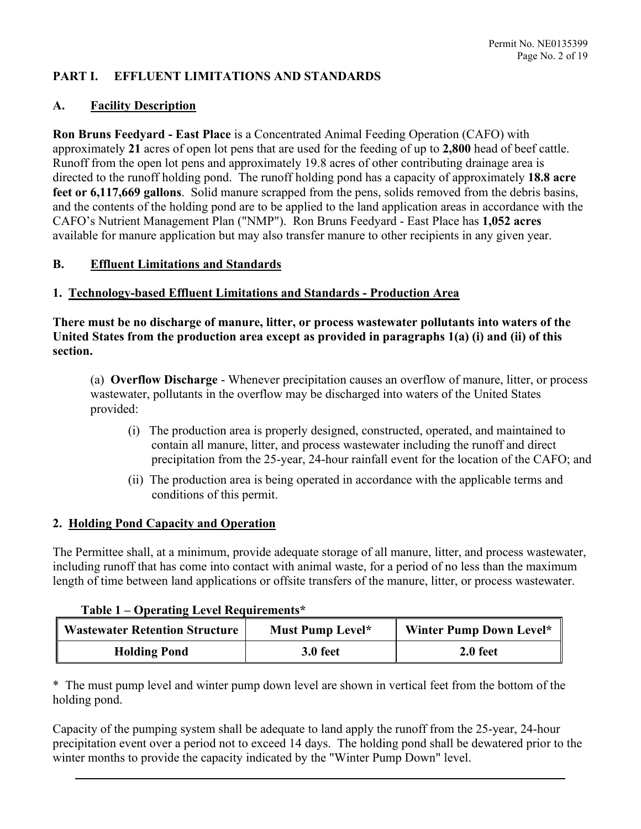# **PART I. EFFLUENT LIMITATIONS AND STANDARDS**

### **A. Facility Description**

**Ron Bruns Feedyard - East Place** is a Concentrated Animal Feeding Operation (CAFO) with approximately **21** acres of open lot pens that are used for the feeding of up to **2,800** head of beef cattle. Runoff from the open lot pens and approximately 19.8 acres of other contributing drainage area is directed to the runoff holding pond. The runoff holding pond has a capacity of approximately **18.8 acre feet or 6,117,669 gallons**. Solid manure scrapped from the pens, solids removed from the debris basins, and the contents of the holding pond are to be applied to the land application areas in accordance with the CAFO's Nutrient Management Plan ("NMP"). Ron Bruns Feedyard - East Place has **1,052 acres** available for manure application but may also transfer manure to other recipients in any given year.

### **B. Effluent Limitations and Standards**

#### **1. Technology-based Effluent Limitations and Standards - Production Area**

**There must be no discharge of manure, litter, or process wastewater pollutants into waters of the United States from the production area except as provided in paragraphs 1(a) (i) and (ii) of this section.** 

(a)**Overflow Discharge** - Whenever precipitation causes an overflow of manure, litter, or process wastewater, pollutants in the overflow may be discharged into waters of the United States provided:

- (i) The production area is properly designed, constructed, operated, and maintained to contain all manure, litter, and process wastewater including the runoff and direct precipitation from the 25-year, 24-hour rainfall event for the location of the CAFO; and
- (ii) The production area is being operated in accordance with the applicable terms and conditions of this permit.

#### **2. Holding Pond Capacity and Operation**

The Permittee shall, at a minimum, provide adequate storage of all manure, litter, and process wastewater, including runoff that has come into contact with animal waste, for a period of no less than the maximum length of time between land applications or offsite transfers of the manure, litter, or process wastewater.

#### **Table 1 – Operating Level Requirements\***

| <b>Wastewater Retention Structure</b> | Must Pump Level* | Winter Pump Down Level* |
|---------------------------------------|------------------|-------------------------|
| <b>Holding Pond</b>                   | 3.0 feet         | 2.0 feet                |

\* The must pump level and winter pump down level are shown in vertical feet from the bottom of the holding pond.

Capacity of the pumping system shall be adequate to land apply the runoff from the 25-year, 24-hour precipitation event over a period not to exceed 14 days. The holding pond shall be dewatered prior to the winter months to provide the capacity indicated by the "Winter Pump Down" level.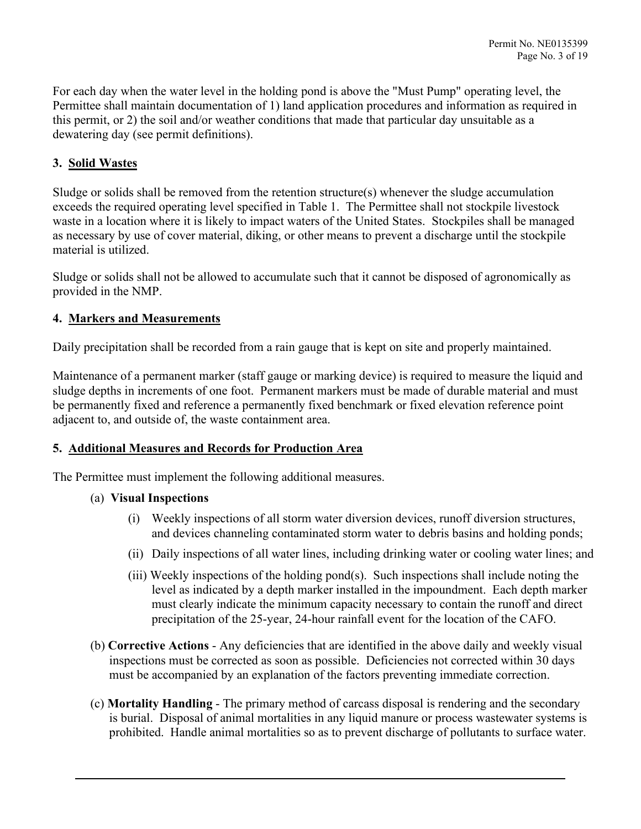For each day when the water level in the holding pond is above the "Must Pump" operating level, the Permittee shall maintain documentation of 1) land application procedures and information as required in this permit, or 2) the soil and/or weather conditions that made that particular day unsuitable as a dewatering day (see permit definitions).

# **3. Solid Wastes**

Sludge or solids shall be removed from the retention structure(s) whenever the sludge accumulation exceeds the required operating level specified in Table 1. The Permittee shall not stockpile livestock waste in a location where it is likely to impact waters of the United States. Stockpiles shall be managed as necessary by use of cover material, diking, or other means to prevent a discharge until the stockpile material is utilized.

Sludge or solids shall not be allowed to accumulate such that it cannot be disposed of agronomically as provided in the NMP.

### **4. Markers and Measurements**

Daily precipitation shall be recorded from a rain gauge that is kept on site and properly maintained.

Maintenance of a permanent marker (staff gauge or marking device) is required to measure the liquid and sludge depths in increments of one foot. Permanent markers must be made of durable material and must be permanently fixed and reference a permanently fixed benchmark or fixed elevation reference point adjacent to, and outside of, the waste containment area.

#### **5. Additional Measures and Records for Production Area**

The Permittee must implement the following additional measures.

#### (a) **Visual Inspections**

- (i) Weekly inspections of all storm water diversion devices, runoff diversion structures, and devices channeling contaminated storm water to debris basins and holding ponds;
- (ii) Daily inspections of all water lines, including drinking water or cooling water lines; and
- (iii) Weekly inspections of the holding pond(s). Such inspections shall include noting the level as indicated by a depth marker installed in the impoundment. Each depth marker must clearly indicate the minimum capacity necessary to contain the runoff and direct precipitation of the 25-year, 24-hour rainfall event for the location of the CAFO.
- (b) **Corrective Actions** Any deficiencies that are identified in the above daily and weekly visual inspections must be corrected as soon as possible. Deficiencies not corrected within 30 days must be accompanied by an explanation of the factors preventing immediate correction.
- (c) **Mortality Handling** The primary method of carcass disposal is rendering and the secondary is burial. Disposal of animal mortalities in any liquid manure or process wastewater systems is prohibited. Handle animal mortalities so as to prevent discharge of pollutants to surface water.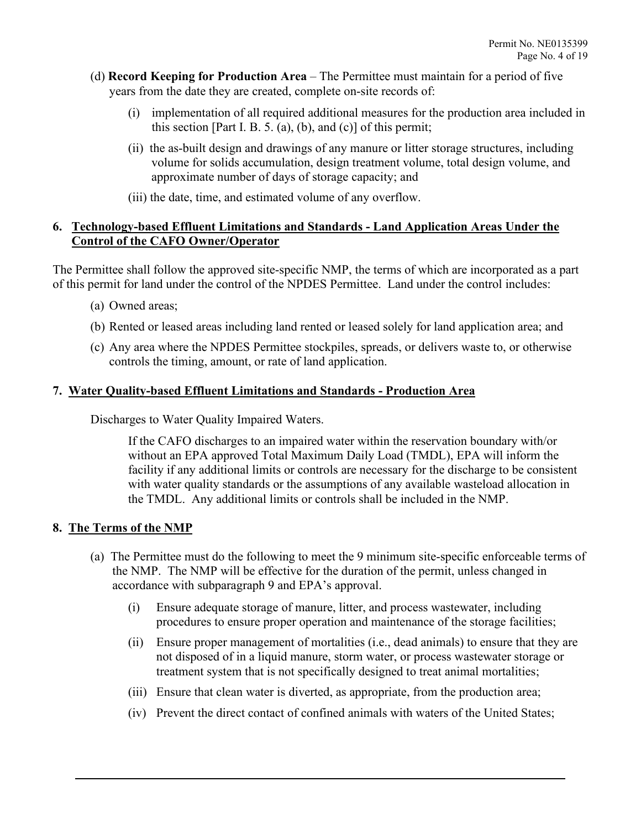- (d) **Record Keeping for Production Area** The Permittee must maintain for a period of five years from the date they are created, complete on-site records of:
	- (i) implementation of all required additional measures for the production area included in this section [Part I. B. 5. (a), (b), and (c)] of this permit;
	- (ii) the as-built design and drawings of any manure or litter storage structures, including volume for solids accumulation, design treatment volume, total design volume, and approximate number of days of storage capacity; and
	- (iii) the date, time, and estimated volume of any overflow.

## **6. Technology-based Effluent Limitations and Standards - Land Application Areas Under the Control of the CAFO Owner/Operator**

The Permittee shall follow the approved site-specific NMP, the terms of which are incorporated as a part of this permit for land under the control of the NPDES Permittee. Land under the control includes:

- (a) Owned areas;
- (b) Rented or leased areas including land rented or leased solely for land application area; and
- (c) Any area where the NPDES Permittee stockpiles, spreads, or delivers waste to, or otherwise controls the timing, amount, or rate of land application.

### **7. Water Quality-based Effluent Limitations and Standards - Production Area**

Discharges to Water Quality Impaired Waters.

If the CAFO discharges to an impaired water within the reservation boundary with/or without an EPA approved Total Maximum Daily Load (TMDL), EPA will inform the facility if any additional limits or controls are necessary for the discharge to be consistent with water quality standards or the assumptions of any available wasteload allocation in the TMDL. Any additional limits or controls shall be included in the NMP.

# **8. The Terms of the NMP**

- (a) The Permittee must do the following to meet the 9 minimum site-specific enforceable terms of the NMP. The NMP will be effective for the duration of the permit, unless changed in accordance with subparagraph 9 and EPA's approval.
	- (i) Ensure adequate storage of manure, litter, and process wastewater, including procedures to ensure proper operation and maintenance of the storage facilities;
	- (ii) Ensure proper management of mortalities (i.e., dead animals) to ensure that they are not disposed of in a liquid manure, storm water, or process wastewater storage or treatment system that is not specifically designed to treat animal mortalities;
	- (iii) Ensure that clean water is diverted, as appropriate, from the production area;
	- (iv) Prevent the direct contact of confined animals with waters of the United States;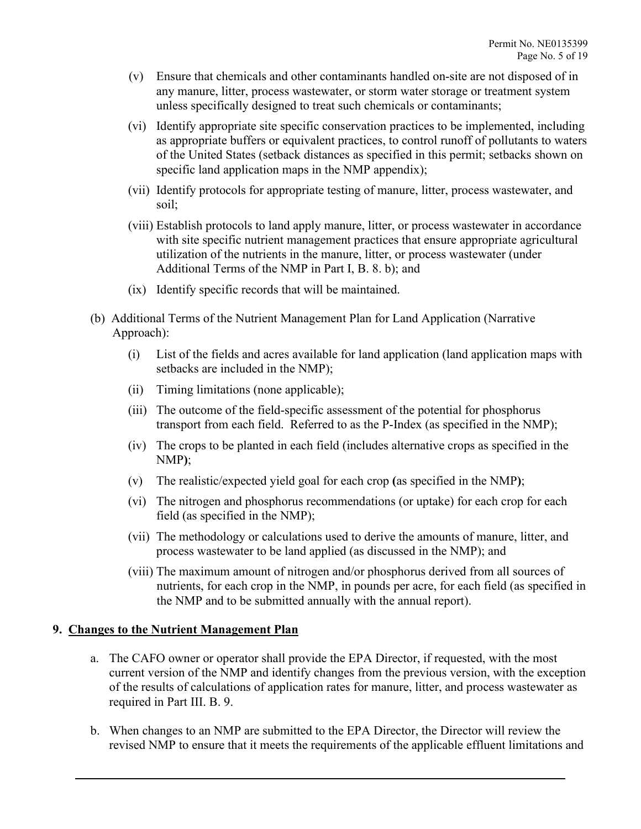- (v) Ensure that chemicals and other contaminants handled on-site are not disposed of in any manure, litter, process wastewater, or storm water storage or treatment system unless specifically designed to treat such chemicals or contaminants;
- (vi) Identify appropriate site specific conservation practices to be implemented, including as appropriate buffers or equivalent practices, to control runoff of pollutants to waters of the United States (setback distances as specified in this permit; setbacks shown on specific land application maps in the NMP appendix);
- (vii) Identify protocols for appropriate testing of manure, litter, process wastewater, and soil;
- (viii) Establish protocols to land apply manure, litter, or process wastewater in accordance with site specific nutrient management practices that ensure appropriate agricultural utilization of the nutrients in the manure, litter, or process wastewater (under Additional Terms of the NMP in Part I, B. 8. b); and
- (ix) Identify specific records that will be maintained.
- (b)Additional Terms of the Nutrient Management Plan for Land Application (Narrative Approach):
	- (i) List of the fields and acres available for land application (land application maps with setbacks are included in the NMP);
	- (ii) Timing limitations (none applicable);
	- (iii) The outcome of the field-specific assessment of the potential for phosphorus transport from each field. Referred to as the P-Index (as specified in the NMP);
	- (iv) The crops to be planted in each field (includes alternative crops as specified in the NMP**)**;
	- (v) The realistic/expected yield goal for each crop **(**as specified in the NMP**)**;
	- (vi) The nitrogen and phosphorus recommendations (or uptake) for each crop for each field (as specified in the NMP);
	- (vii) The methodology or calculations used to derive the amounts of manure, litter, and process wastewater to be land applied (as discussed in the NMP); and
	- (viii) The maximum amount of nitrogen and/or phosphorus derived from all sources of nutrients, for each crop in the NMP, in pounds per acre, for each field (as specified in the NMP and to be submitted annually with the annual report).

#### **9. Changes to the Nutrient Management Plan**

- a. The CAFO owner or operator shall provide the EPA Director, if requested, with the most current version of the NMP and identify changes from the previous version, with the exception of the results of calculations of application rates for manure, litter, and process wastewater as required in Part III. B. 9.
- b. When changes to an NMP are submitted to the EPA Director, the Director will review the revised NMP to ensure that it meets the requirements of the applicable effluent limitations and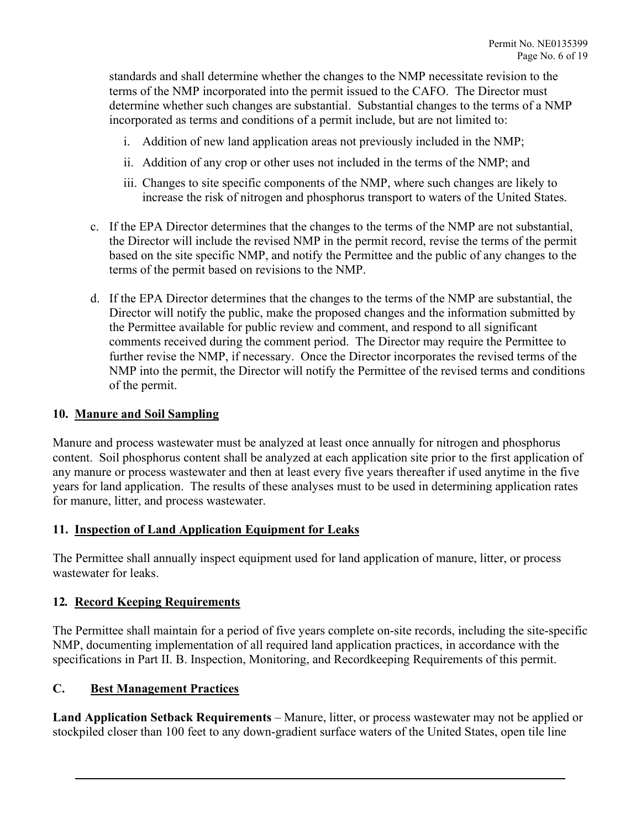standards and shall determine whether the changes to the NMP necessitate revision to the terms of the NMP incorporated into the permit issued to the CAFO. The Director must determine whether such changes are substantial. Substantial changes to the terms of a NMP incorporated as terms and conditions of a permit include, but are not limited to:

- i. Addition of new land application areas not previously included in the NMP;
- ii. Addition of any crop or other uses not included in the terms of the NMP; and
- iii. Changes to site specific components of the NMP, where such changes are likely to increase the risk of nitrogen and phosphorus transport to waters of the United States.
- c. If the EPA Director determines that the changes to the terms of the NMP are not substantial, the Director will include the revised NMP in the permit record, revise the terms of the permit based on the site specific NMP, and notify the Permittee and the public of any changes to the terms of the permit based on revisions to the NMP.
- d. If the EPA Director determines that the changes to the terms of the NMP are substantial, the Director will notify the public, make the proposed changes and the information submitted by the Permittee available for public review and comment, and respond to all significant comments received during the comment period. The Director may require the Permittee to further revise the NMP, if necessary. Once the Director incorporates the revised terms of the NMP into the permit, the Director will notify the Permittee of the revised terms and conditions of the permit.

#### **10. Manure and Soil Sampling**

Manure and process wastewater must be analyzed at least once annually for nitrogen and phosphorus content. Soil phosphorus content shall be analyzed at each application site prior to the first application of any manure or process wastewater and then at least every five years thereafter if used anytime in the five years for land application. The results of these analyses must to be used in determining application rates for manure, litter, and process wastewater.

#### **11. Inspection of Land Application Equipment for Leaks**

The Permittee shall annually inspect equipment used for land application of manure, litter, or process wastewater for leaks.

#### **12***.* **Record Keeping Requirements**

The Permittee shall maintain for a period of five years complete on-site records, including the site-specific NMP, documenting implementation of all required land application practices, in accordance with the specifications in Part II. B. Inspection, Monitoring, and Recordkeeping Requirements of this permit.

#### **C. Best Management Practices**

**Land Application Setback Requirements** – Manure, litter, or process wastewater may not be applied or stockpiled closer than 100 feet to any down-gradient surface waters of the United States, open tile line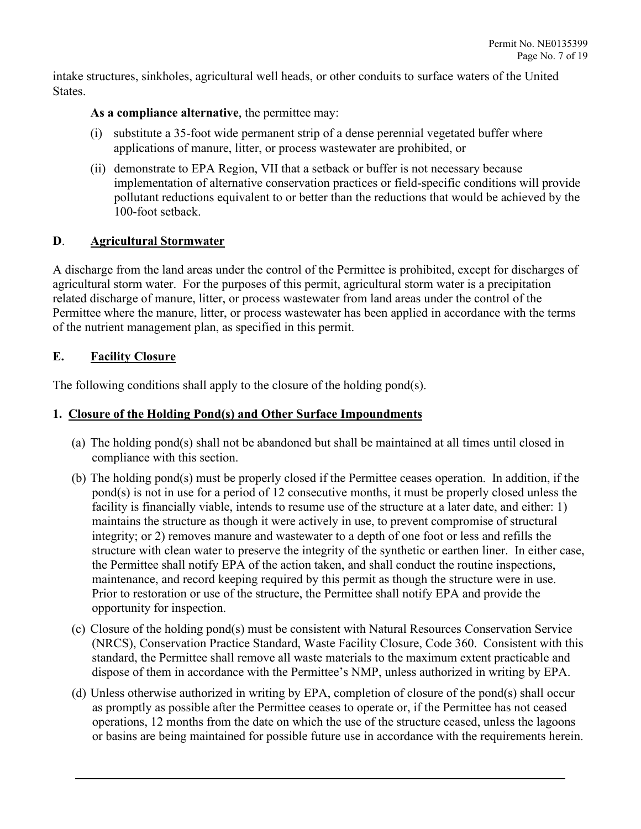intake structures, sinkholes, agricultural well heads, or other conduits to surface waters of the United States.

## **As a compliance alternative**, the permittee may:

- (i) substitute a 35-foot wide permanent strip of a dense perennial vegetated buffer where applications of manure, litter, or process wastewater are prohibited, or
- (ii) demonstrate to EPA Region, VII that a setback or buffer is not necessary because implementation of alternative conservation practices or field-specific conditions will provide pollutant reductions equivalent to or better than the reductions that would be achieved by the 100-foot setback.

### **D**. **Agricultural Stormwater**

A discharge from the land areas under the control of the Permittee is prohibited, except for discharges of agricultural storm water. For the purposes of this permit, agricultural storm water is a precipitation related discharge of manure, litter, or process wastewater from land areas under the control of the Permittee where the manure, litter, or process wastewater has been applied in accordance with the terms of the nutrient management plan, as specified in this permit.

# **E. Facility Closure**

The following conditions shall apply to the closure of the holding pond(s).

## **1. Closure of the Holding Pond(s) and Other Surface Impoundments**

- (a) The holding pond(s) shall not be abandoned but shall be maintained at all times until closed in compliance with this section.
- (b) The holding pond(s) must be properly closed if the Permittee ceases operation. In addition, if the pond(s) is not in use for a period of 12 consecutive months, it must be properly closed unless the facility is financially viable, intends to resume use of the structure at a later date, and either: 1) maintains the structure as though it were actively in use, to prevent compromise of structural integrity; or 2) removes manure and wastewater to a depth of one foot or less and refills the structure with clean water to preserve the integrity of the synthetic or earthen liner. In either case, the Permittee shall notify EPA of the action taken, and shall conduct the routine inspections, maintenance, and record keeping required by this permit as though the structure were in use. Prior to restoration or use of the structure, the Permittee shall notify EPA and provide the opportunity for inspection.
- (c) Closure of the holding pond(s) must be consistent with Natural Resources Conservation Service (NRCS), Conservation Practice Standard, Waste Facility Closure, Code 360. Consistent with this standard, the Permittee shall remove all waste materials to the maximum extent practicable and dispose of them in accordance with the Permittee's NMP, unless authorized in writing by EPA.
- (d) Unless otherwise authorized in writing by EPA, completion of closure of the pond(s) shall occur as promptly as possible after the Permittee ceases to operate or, if the Permittee has not ceased operations, 12 months from the date on which the use of the structure ceased, unless the lagoons or basins are being maintained for possible future use in accordance with the requirements herein.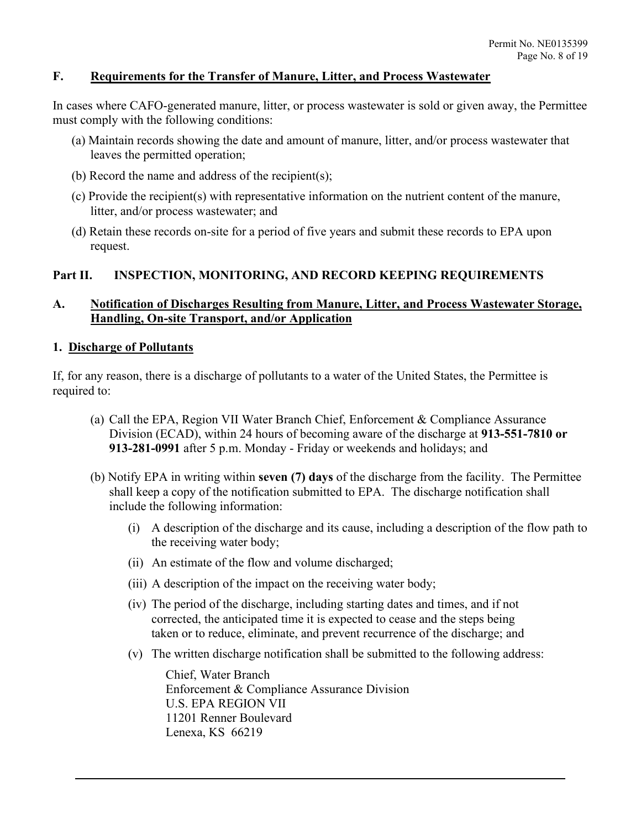## **F. Requirements for the Transfer of Manure, Litter, and Process Wastewater**

In cases where CAFO-generated manure, litter, or process wastewater is sold or given away, the Permittee must comply with the following conditions:

- (a) Maintain records showing the date and amount of manure, litter, and/or process wastewater that leaves the permitted operation;
- (b) Record the name and address of the recipient(s);
- (c) Provide the recipient(s) with representative information on the nutrient content of the manure, litter, and/or process wastewater; and
- (d) Retain these records on-site for a period of five years and submit these records to EPA upon request.

### **Part II. INSPECTION, MONITORING, AND RECORD KEEPING REQUIREMENTS**

# **A. Notification of Discharges Resulting from Manure, Litter, and Process Wastewater Storage, Handling, On-site Transport, and/or Application**

#### **1. Discharge of Pollutants**

If, for any reason, there is a discharge of pollutants to a water of the United States, the Permittee is required to:

- (a) Call the EPA, Region VII Water Branch Chief, Enforcement & Compliance Assurance Division (ECAD), within 24 hours of becoming aware of the discharge at **913-551-7810 or 913-281-0991** after 5 p.m. Monday - Friday or weekends and holidays; and
- (b) Notify EPA in writing within **seven (7) days** of the discharge from the facility. The Permittee shall keep a copy of the notification submitted to EPA. The discharge notification shall include the following information:
	- (i) A description of the discharge and its cause, including a description of the flow path to the receiving water body;
	- (ii) An estimate of the flow and volume discharged;
	- (iii) A description of the impact on the receiving water body;
	- (iv) The period of the discharge, including starting dates and times, and if not corrected, the anticipated time it is expected to cease and the steps being taken or to reduce, eliminate, and prevent recurrence of the discharge; and
	- (v) The written discharge notification shall be submitted to the following address:

Chief, Water Branch Enforcement & Compliance Assurance Division U.S. EPA REGION VII 11201 Renner Boulevard Lenexa, KS 66219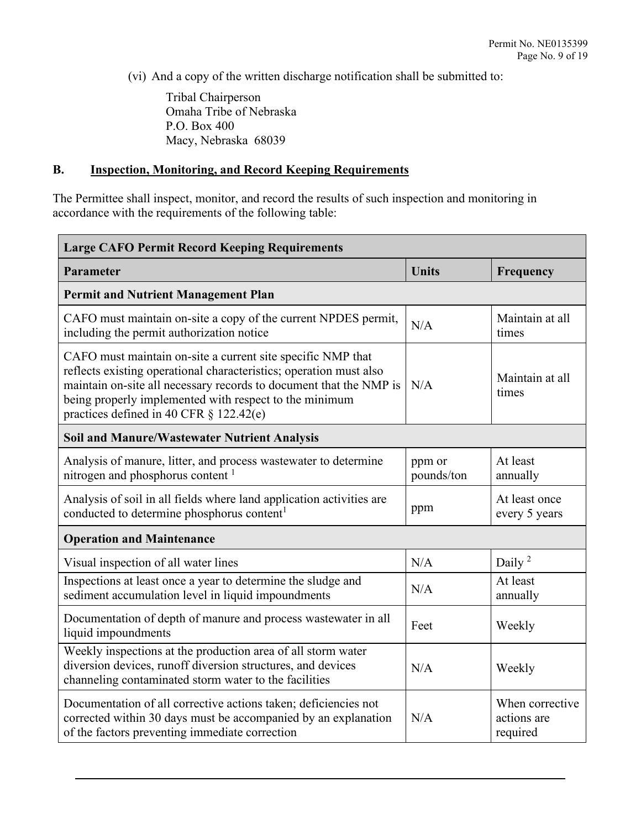(vi) And a copy of the written discharge notification shall be submitted to:

Tribal Chairperson Omaha Tribe of Nebraska P.O. Box 400 Macy, Nebraska 68039

### **B. Inspection, Monitoring, and Record Keeping Requirements**

The Permittee shall inspect, monitor, and record the results of such inspection and monitoring in accordance with the requirements of the following table:

| <b>Large CAFO Permit Record Keeping Requirements</b>                                                                                                                                                                                                                                                         |                      |                                            |  |  |
|--------------------------------------------------------------------------------------------------------------------------------------------------------------------------------------------------------------------------------------------------------------------------------------------------------------|----------------------|--------------------------------------------|--|--|
| Parameter                                                                                                                                                                                                                                                                                                    | <b>Units</b>         | Frequency                                  |  |  |
| <b>Permit and Nutrient Management Plan</b>                                                                                                                                                                                                                                                                   |                      |                                            |  |  |
| CAFO must maintain on-site a copy of the current NPDES permit,<br>including the permit authorization notice                                                                                                                                                                                                  | N/A                  | Maintain at all<br>times                   |  |  |
| CAFO must maintain on-site a current site specific NMP that<br>reflects existing operational characteristics; operation must also<br>maintain on-site all necessary records to document that the NMP is<br>being properly implemented with respect to the minimum<br>practices defined in 40 CFR § 122.42(e) | N/A                  | Maintain at all<br>times                   |  |  |
| <b>Soil and Manure/Wastewater Nutrient Analysis</b>                                                                                                                                                                                                                                                          |                      |                                            |  |  |
| Analysis of manure, litter, and process wastewater to determine<br>nitrogen and phosphorus content <sup>1</sup>                                                                                                                                                                                              | ppm or<br>pounds/ton | At least<br>annually                       |  |  |
| Analysis of soil in all fields where land application activities are<br>conducted to determine phosphorus content <sup>1</sup>                                                                                                                                                                               | ppm                  | At least once<br>every 5 years             |  |  |
| <b>Operation and Maintenance</b>                                                                                                                                                                                                                                                                             |                      |                                            |  |  |
| Visual inspection of all water lines                                                                                                                                                                                                                                                                         | N/A                  | Daily <sup>2</sup>                         |  |  |
| Inspections at least once a year to determine the sludge and<br>sediment accumulation level in liquid impoundments                                                                                                                                                                                           | N/A                  | At least<br>annually                       |  |  |
| Documentation of depth of manure and process wastewater in all<br>liquid impoundments                                                                                                                                                                                                                        | Feet                 | Weekly                                     |  |  |
| Weekly inspections at the production area of all storm water<br>diversion devices, runoff diversion structures, and devices<br>channeling contaminated storm water to the facilities                                                                                                                         | N/A                  | Weekly                                     |  |  |
| Documentation of all corrective actions taken; deficiencies not<br>corrected within 30 days must be accompanied by an explanation<br>of the factors preventing immediate correction                                                                                                                          | N/A                  | When corrective<br>actions are<br>required |  |  |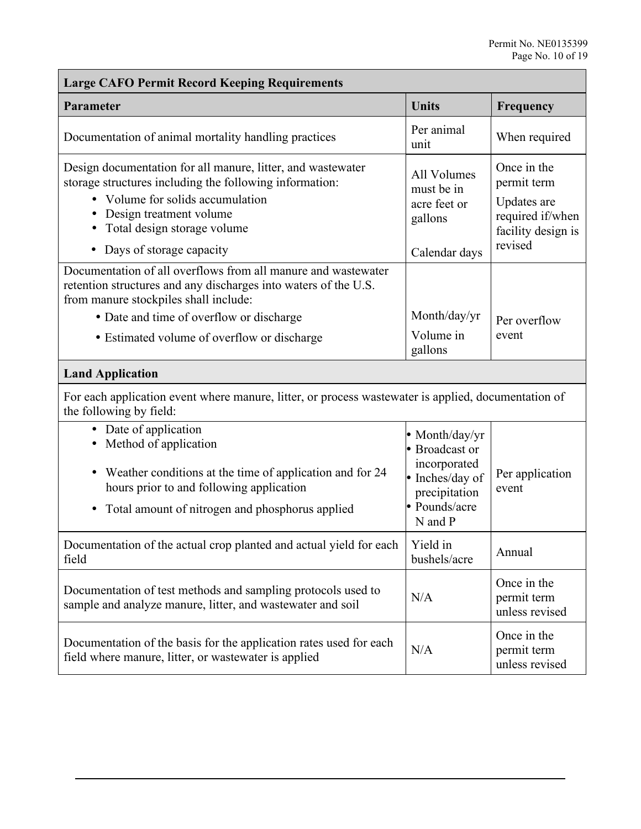| <b>Large CAFO Permit Record Keeping Requirements</b>                                                                                                                                                                                                              |                                                                                                                |                                                                                                |  |  |
|-------------------------------------------------------------------------------------------------------------------------------------------------------------------------------------------------------------------------------------------------------------------|----------------------------------------------------------------------------------------------------------------|------------------------------------------------------------------------------------------------|--|--|
| Parameter                                                                                                                                                                                                                                                         | <b>Units</b>                                                                                                   | Frequency                                                                                      |  |  |
| Documentation of animal mortality handling practices                                                                                                                                                                                                              | Per animal<br>unit                                                                                             | When required                                                                                  |  |  |
| Design documentation for all manure, litter, and wastewater<br>storage structures including the following information:<br>• Volume for solids accumulation<br>• Design treatment volume<br>• Total design storage volume<br>Days of storage capacity<br>$\bullet$ | All Volumes<br>must be in<br>acre feet or<br>gallons<br>Calendar days                                          | Once in the<br>permit term<br>Updates are<br>required if/when<br>facility design is<br>revised |  |  |
| Documentation of all overflows from all manure and wastewater<br>retention structures and any discharges into waters of the U.S.<br>from manure stockpiles shall include:                                                                                         |                                                                                                                |                                                                                                |  |  |
| • Date and time of overflow or discharge<br>• Estimated volume of overflow or discharge                                                                                                                                                                           | Month/day/yr<br>Volume in<br>gallons                                                                           | Per overflow<br>event                                                                          |  |  |
| <b>Land Application</b>                                                                                                                                                                                                                                           |                                                                                                                |                                                                                                |  |  |
| For each application event where manure, litter, or process wastewater is applied, documentation of<br>the following by field:                                                                                                                                    |                                                                                                                |                                                                                                |  |  |
| • Date of application<br>• Method of application<br>• Weather conditions at the time of application and for 24<br>hours prior to and following application<br>• Total amount of nitrogen and phosphorus applied                                                   | • Month/day/yr<br>• Broadcast or<br>incorporated<br>· Inches/day of<br>precipitation<br>Pounds/acre<br>N and P | Per application<br>event                                                                       |  |  |
| Documentation of the actual crop planted and actual yield for each<br>field                                                                                                                                                                                       | Yield in<br>bushels/acre                                                                                       | Annual                                                                                         |  |  |
| Documentation of test methods and sampling protocols used to<br>sample and analyze manure, litter, and wastewater and soil                                                                                                                                        | N/A                                                                                                            | Once in the<br>permit term<br>unless revised                                                   |  |  |
| Documentation of the basis for the application rates used for each<br>field where manure, litter, or wastewater is applied                                                                                                                                        | N/A                                                                                                            | Once in the<br>permit term<br>unless revised                                                   |  |  |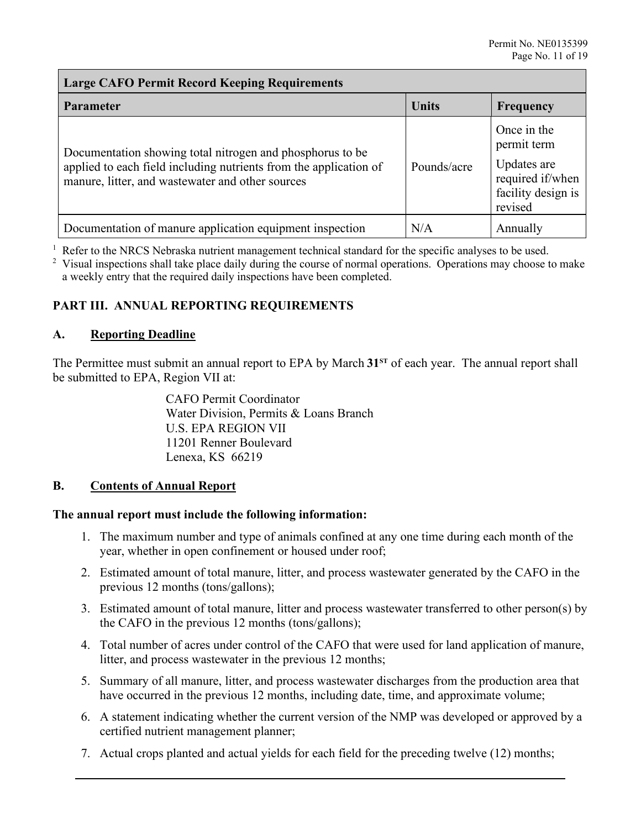## **Large CAFO Permit Record Keeping Requirements**

| <b>Parameter</b>                                                                                                                                                                   | <b>Units</b> | Frequency                                                                                      |
|------------------------------------------------------------------------------------------------------------------------------------------------------------------------------------|--------------|------------------------------------------------------------------------------------------------|
| Documentation showing total nitrogen and phosphorus to be<br>applied to each field including nutrients from the application of<br>manure, litter, and wastewater and other sources | Pounds/acre  | Once in the<br>permit term<br>Updates are<br>required if/when<br>facility design is<br>revised |
| Documentation of manure application equipment inspection                                                                                                                           | N/A          | Annually                                                                                       |

 $1$  Refer to the NRCS Nebraska nutrient management technical standard for the specific analyses to be used.

<sup>2</sup> Visual inspections shall take place daily during the course of normal operations. Operations may choose to make a weekly entry that the required daily inspections have been completed.

# **PART III. ANNUAL REPORTING REQUIREMENTS**

### **A. Reporting Deadline**

The Permittee must submit an annual report to EPA by March 31<sup>st</sup> of each year. The annual report shall be submitted to EPA, Region VII at:

> CAFO Permit Coordinator Water Division, Permits & Loans Branch U.S. EPA REGION VII 11201 Renner Boulevard Lenexa, KS 66219

# **B. Contents of Annual Report**

#### **The annual report must include the following information:**

- 1. The maximum number and type of animals confined at any one time during each month of the year, whether in open confinement or housed under roof;
- 2. Estimated amount of total manure, litter, and process wastewater generated by the CAFO in the previous 12 months (tons/gallons);
- 3. Estimated amount of total manure, litter and process wastewater transferred to other person(s) by the CAFO in the previous 12 months (tons/gallons);
- 4. Total number of acres under control of the CAFO that were used for land application of manure, litter, and process wastewater in the previous 12 months;
- 5. Summary of all manure, litter, and process wastewater discharges from the production area that have occurred in the previous 12 months, including date, time, and approximate volume;
- 6. A statement indicating whether the current version of the NMP was developed or approved by a certified nutrient management planner;
- 7. Actual crops planted and actual yields for each field for the preceding twelve (12) months;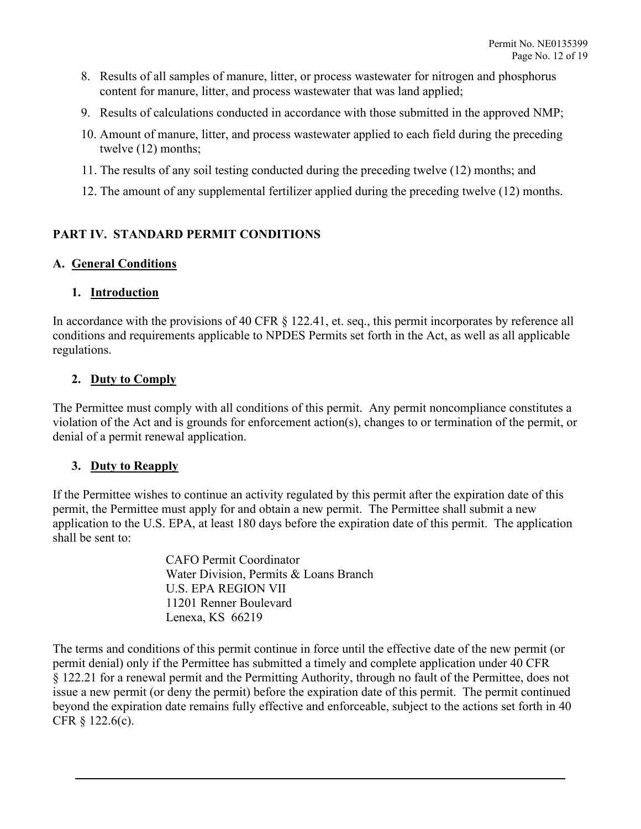- 8. Results of all samples of manure, litter, or process wastewater for nitrogen and phosphorus content for manure, litter, and process wastewater that was land applied;
- 9. Results of calculations conducted in accordance with those submitted in the approved NMP;
- 10. Amount of manure, litter, and process wastewater applied to each field during the preceding twelve (12) months;
- 11. The results of any soil testing conducted during the preceding twelve (12) months; and
- 12. The amount of any supplemental fertilizer applied during the preceding twelve (12) months.

# **PART IV. STANDARD PERMIT CONDITIONS**

### **A. General Conditions**

### **1. Introduction**

In accordance with the provisions of 40 CFR § 122.41, et. seq., this permit incorporates by reference all conditions and requirements applicable to NPDES Permits set forth in the Act, as well as all applicable regulations.

# **2. Duty to Comply**

The Permittee must comply with all conditions of this permit. Any permit noncompliance constitutes a violation of the Act and is grounds for enforcement action(s), changes to or termination of the permit, or denial of a permit renewal application.

# **3. Duty to Reapply**

If the Permittee wishes to continue an activity regulated by this permit after the expiration date of this permit, the Permittee must apply for and obtain a new permit. The Permittee shall submit a new application to the U.S. EPA, at least 180 days before the expiration date of this permit. The application shall be sent to:

> CAFO Permit Coordinator Water Division, Permits & Loans Branch U.S. EPA REGION VII 11201 Renner Boulevard Lenexa, KS 66219

The terms and conditions of this permit continue in force until the effective date of the new permit (or permit denial) only if the Permittee has submitted a timely and complete application under 40 CFR § 122.21 for a renewal permit and the Permitting Authority, through no fault of the Permittee, does not issue a new permit (or deny the permit) before the expiration date of this permit. The permit continued beyond the expiration date remains fully effective and enforceable, subject to the actions set forth in 40 CFR § 122.6(c).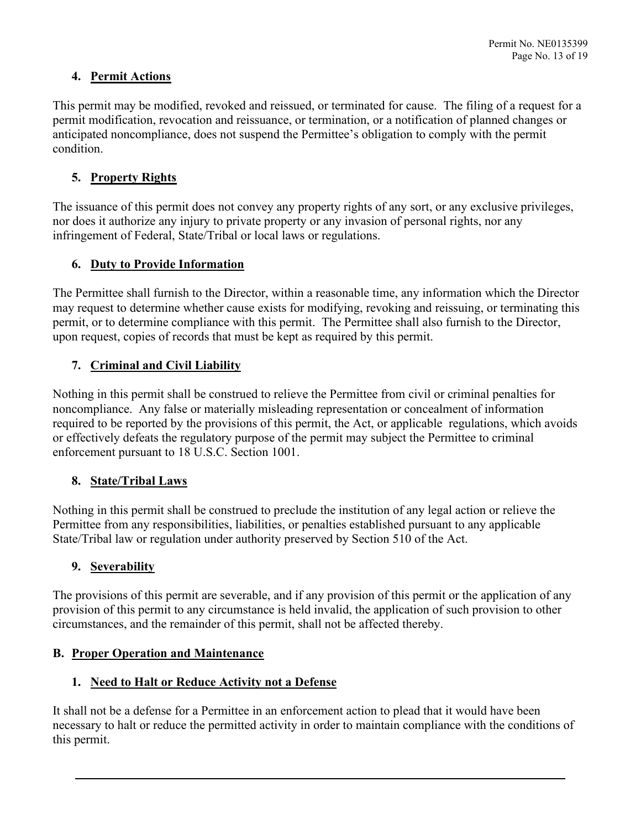# **4. Permit Actions**

This permit may be modified, revoked and reissued, or terminated for cause. The filing of a request for a permit modification, revocation and reissuance, or termination, or a notification of planned changes or anticipated noncompliance, does not suspend the Permittee's obligation to comply with the permit condition.

# **5. Property Rights**

The issuance of this permit does not convey any property rights of any sort, or any exclusive privileges, nor does it authorize any injury to private property or any invasion of personal rights, nor any infringement of Federal, State/Tribal or local laws or regulations.

# **6. Duty to Provide Information**

The Permittee shall furnish to the Director, within a reasonable time, any information which the Director may request to determine whether cause exists for modifying, revoking and reissuing, or terminating this permit, or to determine compliance with this permit. The Permittee shall also furnish to the Director, upon request, copies of records that must be kept as required by this permit.

# **7. Criminal and Civil Liability**

Nothing in this permit shall be construed to relieve the Permittee from civil or criminal penalties for noncompliance. Any false or materially misleading representation or concealment of information required to be reported by the provisions of this permit, the Act, or applicable regulations, which avoids or effectively defeats the regulatory purpose of the permit may subject the Permittee to criminal enforcement pursuant to 18 U.S.C. Section 1001.

# **8. State/Tribal Laws**

Nothing in this permit shall be construed to preclude the institution of any legal action or relieve the Permittee from any responsibilities, liabilities, or penalties established pursuant to any applicable State/Tribal law or regulation under authority preserved by Section 510 of the Act.

# **9. Severability**

The provisions of this permit are severable, and if any provision of this permit or the application of any provision of this permit to any circumstance is held invalid, the application of such provision to other circumstances, and the remainder of this permit, shall not be affected thereby.

# **B. Proper Operation and Maintenance**

# **1. Need to Halt or Reduce Activity not a Defense**

It shall not be a defense for a Permittee in an enforcement action to plead that it would have been necessary to halt or reduce the permitted activity in order to maintain compliance with the conditions of this permit.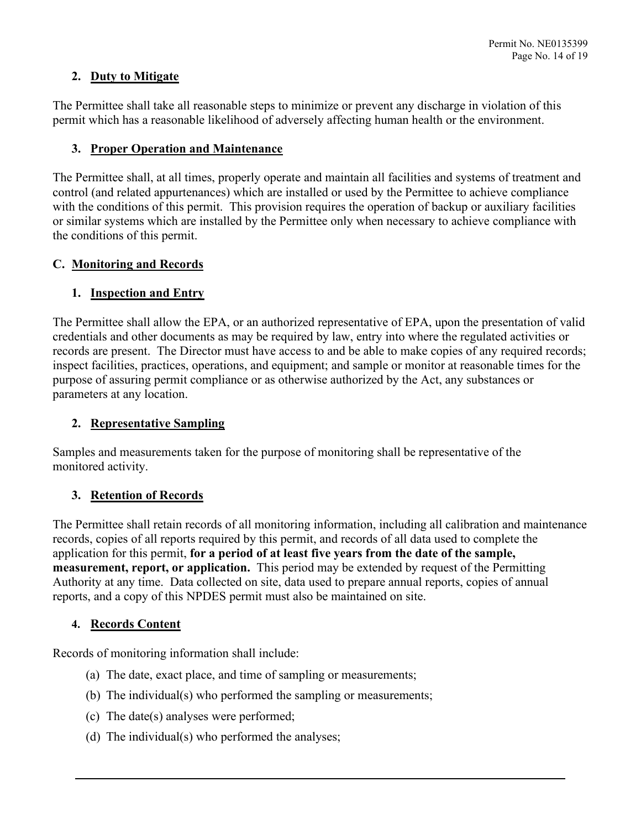# **2. Duty to Mitigate**

The Permittee shall take all reasonable steps to minimize or prevent any discharge in violation of this permit which has a reasonable likelihood of adversely affecting human health or the environment.

# **3. Proper Operation and Maintenance**

The Permittee shall, at all times, properly operate and maintain all facilities and systems of treatment and control (and related appurtenances) which are installed or used by the Permittee to achieve compliance with the conditions of this permit. This provision requires the operation of backup or auxiliary facilities or similar systems which are installed by the Permittee only when necessary to achieve compliance with the conditions of this permit.

# **C. Monitoring and Records**

# **1. Inspection and Entry**

The Permittee shall allow the EPA, or an authorized representative of EPA, upon the presentation of valid credentials and other documents as may be required by law, entry into where the regulated activities or records are present. The Director must have access to and be able to make copies of any required records; inspect facilities, practices, operations, and equipment; and sample or monitor at reasonable times for the purpose of assuring permit compliance or as otherwise authorized by the Act, any substances or parameters at any location.

# **2. Representative Sampling**

Samples and measurements taken for the purpose of monitoring shall be representative of the monitored activity.

# **3. Retention of Records**

The Permittee shall retain records of all monitoring information, including all calibration and maintenance records, copies of all reports required by this permit, and records of all data used to complete the application for this permit, **for a period of at least five years from the date of the sample, measurement, report, or application.** This period may be extended by request of the Permitting Authority at any time. Data collected on site, data used to prepare annual reports, copies of annual reports, and a copy of this NPDES permit must also be maintained on site.

# **4. Records Content**

Records of monitoring information shall include:

- (a) The date, exact place, and time of sampling or measurements;
- (b) The individual(s) who performed the sampling or measurements;
- (c) The date(s) analyses were performed;
- (d) The individual(s) who performed the analyses;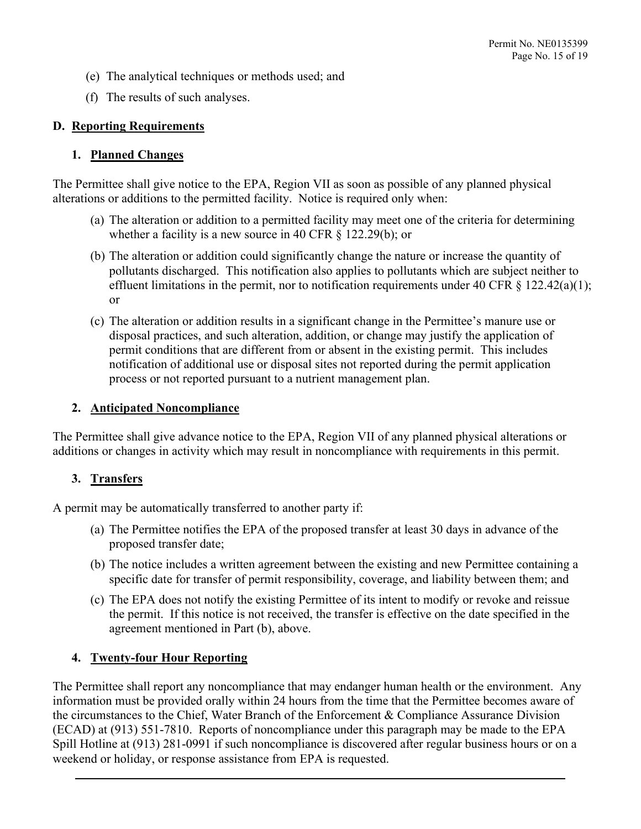- (e) The analytical techniques or methods used; and
- (f) The results of such analyses.

# **D. Reporting Requirements**

# **1. Planned Changes**

The Permittee shall give notice to the EPA, Region VII as soon as possible of any planned physical alterations or additions to the permitted facility. Notice is required only when:

- (a) The alteration or addition to a permitted facility may meet one of the criteria for determining whether a facility is a new source in 40 CFR  $\S$  122.29(b); or
- (b) The alteration or addition could significantly change the nature or increase the quantity of pollutants discharged. This notification also applies to pollutants which are subject neither to effluent limitations in the permit, nor to notification requirements under 40 CFR  $\S$  122.42(a)(1); or
- (c) The alteration or addition results in a significant change in the Permittee's manure use or disposal practices, and such alteration, addition, or change may justify the application of permit conditions that are different from or absent in the existing permit. This includes notification of additional use or disposal sites not reported during the permit application process or not reported pursuant to a nutrient management plan.

## **2. Anticipated Noncompliance**

The Permittee shall give advance notice to the EPA, Region VII of any planned physical alterations or additions or changes in activity which may result in noncompliance with requirements in this permit.

# **3. Transfers**

A permit may be automatically transferred to another party if:

- (a) The Permittee notifies the EPA of the proposed transfer at least 30 days in advance of the proposed transfer date;
- (b) The notice includes a written agreement between the existing and new Permittee containing a specific date for transfer of permit responsibility, coverage, and liability between them; and
- (c) The EPA does not notify the existing Permittee of its intent to modify or revoke and reissue the permit. If this notice is not received, the transfer is effective on the date specified in the agreement mentioned in Part (b), above.

# **4. Twenty-four Hour Reporting**

The Permittee shall report any noncompliance that may endanger human health or the environment. Any information must be provided orally within 24 hours from the time that the Permittee becomes aware of the circumstances to the Chief, Water Branch of the Enforcement & Compliance Assurance Division (ECAD) at (913) 551-7810. Reports of noncompliance under this paragraph may be made to the EPA Spill Hotline at (913) 281-0991 if such noncompliance is discovered after regular business hours or on a weekend or holiday, or response assistance from EPA is requested.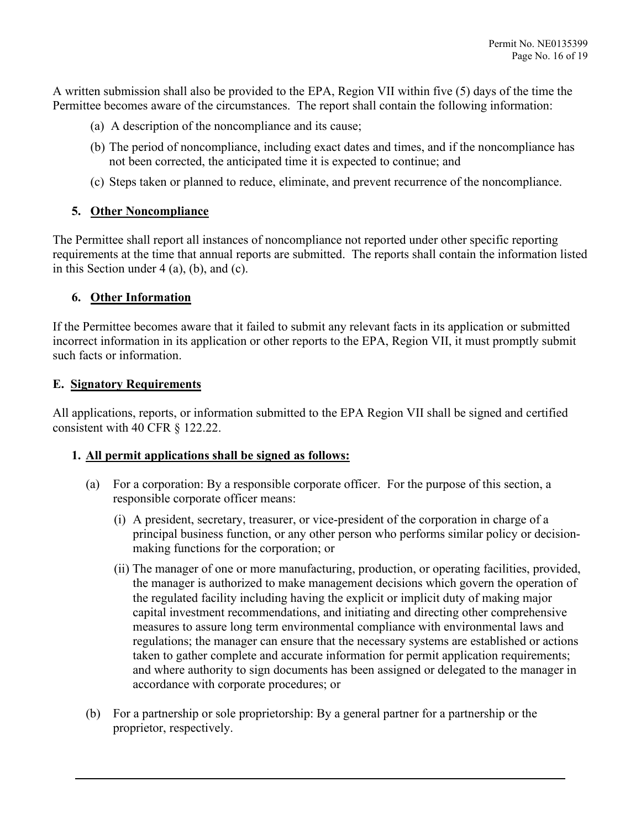A written submission shall also be provided to the EPA, Region VII within five (5) days of the time the Permittee becomes aware of the circumstances. The report shall contain the following information:

- (a) A description of the noncompliance and its cause;
- (b) The period of noncompliance, including exact dates and times, and if the noncompliance has not been corrected, the anticipated time it is expected to continue; and
- (c) Steps taken or planned to reduce, eliminate, and prevent recurrence of the noncompliance.

# **5. Other Noncompliance**

The Permittee shall report all instances of noncompliance not reported under other specific reporting requirements at the time that annual reports are submitted. The reports shall contain the information listed in this Section under 4 (a), (b), and (c).

# **6. Other Information**

If the Permittee becomes aware that it failed to submit any relevant facts in its application or submitted incorrect information in its application or other reports to the EPA, Region VII, it must promptly submit such facts or information.

### **E. Signatory Requirements**

All applications, reports, or information submitted to the EPA Region VII shall be signed and certified consistent with 40 CFR § 122.22.

#### **1. All permit applications shall be signed as follows:**

- (a) For a corporation: By a responsible corporate officer. For the purpose of this section, a responsible corporate officer means:
	- (i) A president, secretary, treasurer, or vice-president of the corporation in charge of a principal business function, or any other person who performs similar policy or decisionmaking functions for the corporation; or
	- (ii) The manager of one or more manufacturing, production, or operating facilities, provided, the manager is authorized to make management decisions which govern the operation of the regulated facility including having the explicit or implicit duty of making major capital investment recommendations, and initiating and directing other comprehensive measures to assure long term environmental compliance with environmental laws and regulations; the manager can ensure that the necessary systems are established or actions taken to gather complete and accurate information for permit application requirements; and where authority to sign documents has been assigned or delegated to the manager in accordance with corporate procedures; or
- (b) For a partnership or sole proprietorship: By a general partner for a partnership or the proprietor, respectively.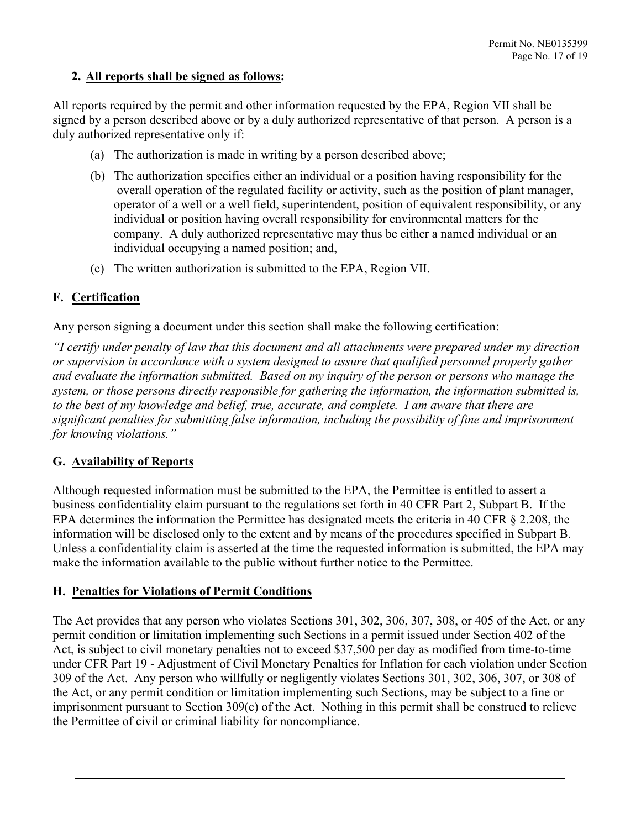# **2. All reports shall be signed as follows:**

All reports required by the permit and other information requested by the EPA, Region VII shall be signed by a person described above or by a duly authorized representative of that person. A person is a duly authorized representative only if:

- (a) The authorization is made in writing by a person described above;
- (b) The authorization specifies either an individual or a position having responsibility for the overall operation of the regulated facility or activity, such as the position of plant manager, operator of a well or a well field, superintendent, position of equivalent responsibility, or any individual or position having overall responsibility for environmental matters for the company. A duly authorized representative may thus be either a named individual or an individual occupying a named position; and,
- (c) The written authorization is submitted to the EPA, Region VII.

# **F. Certification**

Any person signing a document under this section shall make the following certification:

*"I certify under penalty of law that this document and all attachments were prepared under my direction or supervision in accordance with a system designed to assure that qualified personnel properly gather and evaluate the information submitted. Based on my inquiry of the person or persons who manage the system, or those persons directly responsible for gathering the information, the information submitted is, to the best of my knowledge and belief, true, accurate, and complete. I am aware that there are significant penalties for submitting false information, including the possibility of fine and imprisonment for knowing violations."*

# **G. Availability of Reports**

Although requested information must be submitted to the EPA, the Permittee is entitled to assert a business confidentiality claim pursuant to the regulations set forth in 40 CFR Part 2, Subpart B. If the EPA determines the information the Permittee has designated meets the criteria in 40 CFR § 2.208, the information will be disclosed only to the extent and by means of the procedures specified in Subpart B. Unless a confidentiality claim is asserted at the time the requested information is submitted, the EPA may make the information available to the public without further notice to the Permittee.

# **H. Penalties for Violations of Permit Conditions**

The Act provides that any person who violates Sections 301, 302, 306, 307, 308, or 405 of the Act, or any permit condition or limitation implementing such Sections in a permit issued under Section 402 of the Act, is subject to civil monetary penalties not to exceed \$37,500 per day as modified from time-to-time under CFR Part 19 - Adjustment of Civil Monetary Penalties for Inflation for each violation under Section 309 of the Act. Any person who willfully or negligently violates Sections 301, 302, 306, 307, or 308 of the Act, or any permit condition or limitation implementing such Sections, may be subject to a fine or imprisonment pursuant to Section 309(c) of the Act. Nothing in this permit shall be construed to relieve the Permittee of civil or criminal liability for noncompliance.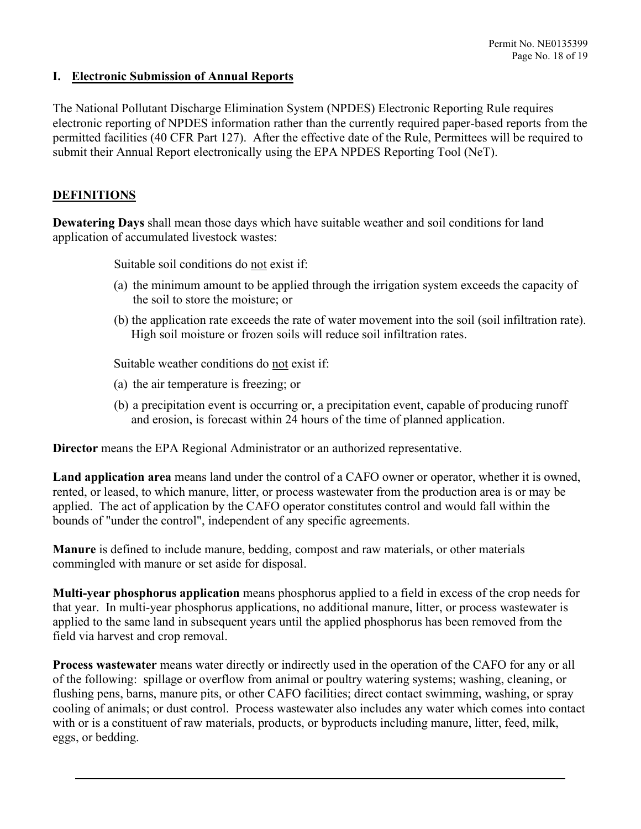### **I. Electronic Submission of Annual Reports**

The National Pollutant Discharge Elimination System (NPDES) Electronic Reporting Rule requires electronic reporting of NPDES information rather than the currently required paper-based reports from the permitted facilities (40 CFR Part 127). After the effective date of the Rule, Permittees will be required to submit their Annual Report electronically using the EPA NPDES Reporting Tool (NeT).

# **DEFINITIONS**

**Dewatering Days** shall mean those days which have suitable weather and soil conditions for land application of accumulated livestock wastes:

Suitable soil conditions do not exist if:

- (a) the minimum amount to be applied through the irrigation system exceeds the capacity of the soil to store the moisture; or
- (b) the application rate exceeds the rate of water movement into the soil (soil infiltration rate). High soil moisture or frozen soils will reduce soil infiltration rates.

Suitable weather conditions do not exist if:

- (a) the air temperature is freezing; or
- (b) a precipitation event is occurring or, a precipitation event, capable of producing runoff and erosion, is forecast within 24 hours of the time of planned application.

**Director** means the EPA Regional Administrator or an authorized representative.

**Land application area** means land under the control of a CAFO owner or operator, whether it is owned, rented, or leased, to which manure, litter, or process wastewater from the production area is or may be applied. The act of application by the CAFO operator constitutes control and would fall within the bounds of "under the control", independent of any specific agreements.

**Manure** is defined to include manure, bedding, compost and raw materials, or other materials commingled with manure or set aside for disposal.

**Multi-year phosphorus application** means phosphorus applied to a field in excess of the crop needs for that year. In multi-year phosphorus applications, no additional manure, litter, or process wastewater is applied to the same land in subsequent years until the applied phosphorus has been removed from the field via harvest and crop removal.

**Process wastewater** means water directly or indirectly used in the operation of the CAFO for any or all of the following: spillage or overflow from animal or poultry watering systems; washing, cleaning, or flushing pens, barns, manure pits, or other CAFO facilities; direct contact swimming, washing, or spray cooling of animals; or dust control. Process wastewater also includes any water which comes into contact with or is a constituent of raw materials, products, or byproducts including manure, litter, feed, milk, eggs, or bedding.